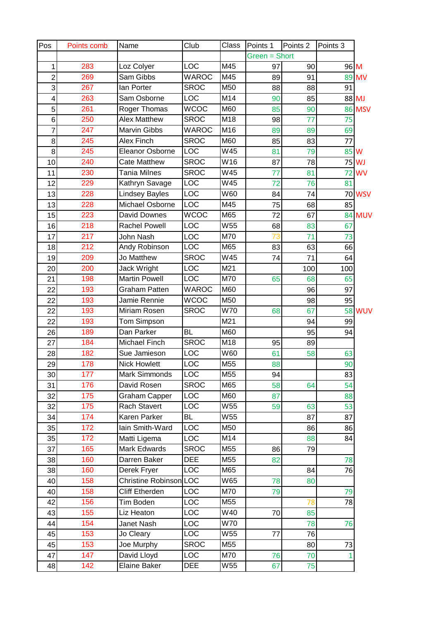| Pos            | Points comb | Name                   | Club         | Class | Points 1      | Points <sub>2</sub> | Points 3 |               |
|----------------|-------------|------------------------|--------------|-------|---------------|---------------------|----------|---------------|
|                |             |                        |              |       | Green = Short |                     |          |               |
| 1              | 283         | Loz Colyer             | LOC          | M45   | 97            | 90                  | 96 M     |               |
| $\overline{2}$ | 269         | Sam Gibbs              | <b>WAROC</b> | M45   | 89            | 91                  |          | 89 MV         |
| 3              | 267         | lan Porter             | <b>SROC</b>  | M50   | 88            | 88                  | 91       |               |
| 4              | 263         | Sam Osborne            | LOC          | M14   | 90            | 85                  |          | 88 MJ         |
| 5              | 261         | Roger Thomas           | <b>WCOC</b>  | M60   | 85            | 90                  |          | <b>86 MSV</b> |
| 6              | 250         | <b>Alex Matthew</b>    | <b>SROC</b>  | M18   | 98            | 77                  | 75       |               |
| $\overline{7}$ | 247         | Marvin Gibbs           | <b>WAROC</b> | M16   | 89            | 89                  | 69       |               |
| 8              | 245         | Alex Finch             | <b>SROC</b>  | M60   | 85            | 83                  | 77       |               |
| 8              | 245         | Eleanor Osborne        | LOC          | W45   | 81            | 79                  | 85 W     |               |
| 10             | 240         | <b>Cate Matthew</b>    | <b>SROC</b>  | W16   | 87            | 78                  |          | 75 WJ         |
| 11             | 230         | <b>Tania Milnes</b>    | <b>SROC</b>  | W45   | 77            | 81                  | 72       | <b>WV</b>     |
| 12             | 229         | Kathryn Savage         | <b>LOC</b>   | W45   | 72            | 76                  | 81       |               |
| 13             | 228         | <b>Lindsey Bayles</b>  | LOC          | W60   | 84            | 74                  |          | <b>70 WSV</b> |
| 13             | 228         | Michael Osborne        | LOC          | M45   | 75            | 68                  | 85       |               |
| 15             | 223         | David Downes           | <b>WCOC</b>  | M65   | 72            | 67                  |          | <b>84 MUV</b> |
| 16             | 218         | <b>Rachel Powell</b>   | LOC          | W55   | 68            | 83                  | 67       |               |
| 17             | 217         | John Nash              | LOC          | M70   | 73            | 71                  | 73       |               |
| 18             | 212         | Andy Robinson          | LOC          | M65   | 83            | 63                  | 66       |               |
| 19             | 209         | Jo Matthew             | <b>SROC</b>  | W45   | 74            | 71                  | 64       |               |
| 20             | 200         | Jack Wright            | LOC          | M21   |               | 100                 | 100      |               |
| 21             | 198         | <b>Martin Powell</b>   | LOC          | M70   | 65            | 68                  | 65       |               |
| 22             | 193         | <b>Graham Patten</b>   | <b>WAROC</b> | M60   |               | 96                  | 97       |               |
| 22             | 193         | Jamie Rennie           | <b>WCOC</b>  | M50   |               | 98                  | 95       |               |
| 22             | 193         | Miriam Rosen           | <b>SROC</b>  | W70   | 68            | 67                  |          | <b>58 WUV</b> |
| 22             | 193         | Tom Simpson            |              | M21   |               | 94                  | 99       |               |
| 26             | 189         | Dan Parker             | <b>BL</b>    | M60   |               | 95                  | 94       |               |
| 27             | 184         | Michael Finch          | <b>SROC</b>  | M18   | 95            | 89                  |          |               |
| 28             | 182         | Sue Jamieson           | LOC          | W60   | 61            | 58                  | 63       |               |
| 29             | 178         | <b>Nick Howlett</b>    | LOC          | M55   | 88            |                     | 90       |               |
| 30             | 177         | Mark Simmonds          | <b>LOC</b>   | M55   | 94            |                     | 83       |               |
| 31             | 176         | David Rosen            | <b>SROC</b>  | M65   | 58            | 64                  | 54       |               |
| 32             | 175         | <b>Graham Capper</b>   | <b>LOC</b>   | M60   | 87            |                     | 88       |               |
| 32             | 175         | Rach Stavert           | <b>LOC</b>   | W55   | 59            | 63                  | 53       |               |
| 34             | 174         | Karen Parker           | <b>BL</b>    | W55   |               | 87                  | 87       |               |
| 35             | 172         | lain Smith-Ward        | <b>LOC</b>   | M50   |               | 86                  | 86       |               |
| 35             | 172         | Matti Ligema           | LOC          | M14   |               | 88                  | 84       |               |
| 37             | 165         | Mark Edwards           | <b>SROC</b>  | M55   | 86            | 79                  |          |               |
| 38             | 160         | Darren Baker           | <b>DEE</b>   | M55   | 82            |                     | 78       |               |
| 38             | 160         | Derek Fryer            | <b>LOC</b>   | M65   |               | 84                  | 76       |               |
| 40             | 158         | Christine Robinson LOC |              | W65   | 78            | 80                  |          |               |
| 40             | 158         | <b>Cliff Etherden</b>  | <b>LOC</b>   | M70   | 79            |                     | 79       |               |
| 42             | 156         | Tim Boden              | <b>LOC</b>   | M55   |               | 78                  | 78       |               |
| 43             | 155         | Liz Heaton             | <b>LOC</b>   | W40   | 70            | 85                  |          |               |
| 44             | 154         | Janet Nash             | <b>LOC</b>   | W70   |               | 78                  | 76       |               |
| 45             | 153         | Jo Cleary              | <b>LOC</b>   | W55   | 77            | 76                  |          |               |
| 45             | 153         | Joe Murphy             | <b>SROC</b>  | M55   |               | 80                  | 73       |               |
| 47             | 147         | David Lloyd            | LOC          | M70   | 76            | 70                  | 1        |               |
| 48             | 142         | Elaine Baker           | DEE          | W55   | 67            | 75                  |          |               |
|                |             |                        |              |       |               |                     |          |               |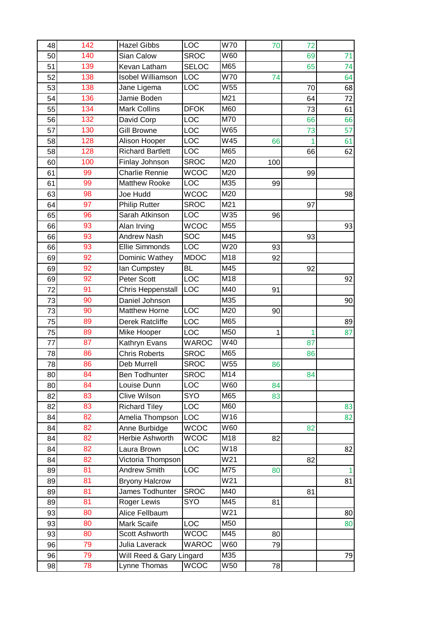| 48 | 142 | <b>Hazel Gibbs</b>       | LOC          | W70 | 70  | 72 |              |
|----|-----|--------------------------|--------------|-----|-----|----|--------------|
| 50 | 140 | Sian Calow               | <b>SROC</b>  | W60 |     | 69 | 71           |
| 51 | 139 | Kevan Latham             | <b>SELOC</b> | M65 |     | 65 | 74           |
| 52 | 138 | <b>Isobel Williamson</b> | LOC          | W70 | 74  |    | 64           |
| 53 | 138 | Jane Ligema              | LOC          | W55 |     | 70 | 68           |
| 54 | 136 | Jamie Boden              |              | M21 |     | 64 | 72           |
| 55 | 134 | <b>Mark Collins</b>      | <b>DFOK</b>  | M60 |     | 73 | 61           |
| 56 | 132 | David Corp               | LOC          | M70 |     | 66 | 66           |
| 57 | 130 | <b>Gill Browne</b>       | <b>LOC</b>   | W65 |     | 73 | 57           |
| 58 | 128 | Alison Hooper            | <b>LOC</b>   | W45 | 66  | 1  | 61           |
| 58 | 128 | <b>Richard Bartlett</b>  | <b>LOC</b>   | M65 |     | 66 | 62           |
| 60 | 100 | Finlay Johnson           | <b>SROC</b>  | M20 | 100 |    |              |
| 61 | 99  | <b>Charlie Rennie</b>    | <b>WCOC</b>  | M20 |     | 99 |              |
| 61 | 99  | <b>Matthew Rooke</b>     | LOC          | M35 | 99  |    |              |
| 63 | 98  | Joe Hudd                 | <b>WCOC</b>  | M20 |     |    | 98           |
| 64 | 97  | <b>Philip Rutter</b>     | <b>SROC</b>  | M21 |     | 97 |              |
| 65 | 96  | Sarah Atkinson           | LOC          | W35 | 96  |    |              |
| 66 | 93  | Alan Irving              | <b>WCOC</b>  | M55 |     |    | 93           |
| 66 | 93  | <b>Andrew Nash</b>       | SOC          | M45 |     | 93 |              |
| 66 | 93  | <b>Ellie Simmonds</b>    | LOC          | W20 | 93  |    |              |
| 69 | 92  | Dominic Wathey           | <b>MDOC</b>  | M18 | 92  |    |              |
| 69 | 92  | lan Cumpstey             | <b>BL</b>    | M45 |     | 92 |              |
| 69 | 92  | Peter Scott              | LOC          | M18 |     |    | 92           |
| 72 | 91  | Chris Heppenstall        | LOC          | M40 | 91  |    |              |
| 73 | 90  | Daniel Johnson           |              | M35 |     |    | 90           |
| 73 | 90  | <b>Matthew Horne</b>     | LOC          | M20 | 90  |    |              |
| 75 | 89  | <b>Derek Ratcliffe</b>   | <b>LOC</b>   | M65 |     |    | 89           |
| 75 | 89  | Mike Hooper              | LOC          | M50 | 1   | 1  | 87           |
| 77 | 87  | Kathryn Evans            | <b>WAROC</b> | W40 |     | 87 |              |
| 78 | 86  | <b>Chris Roberts</b>     | <b>SROC</b>  | M65 |     | 86 |              |
| 78 | 86  | Deb Murrell              | <b>SROC</b>  | W55 | 86  |    |              |
| 80 | 84  | Ben Todhunter            | <b>SROC</b>  | M14 |     | 84 |              |
| 80 | 84  | Louise Dunn              | LOC          | W60 | 84  |    |              |
| 82 | 83  | Clive Wilson             | <b>SYO</b>   | M65 | 83  |    |              |
| 82 | 83  | <b>Richard Tiley</b>     | LOC          | M60 |     |    | 83           |
| 84 | 82  | Amelia Thompson          | <b>LOC</b>   | W16 |     |    | 82           |
| 84 | 82  | Anne Burbidge            | <b>WCOC</b>  | W60 |     | 82 |              |
| 84 | 82  | Herbie Ashworth          | <b>WCOC</b>  | M18 | 82  |    |              |
| 84 | 82  | Laura Brown              | LOC          | W18 |     |    | 82           |
| 84 | 82  | Victoria Thompson        |              | W21 |     | 82 |              |
| 89 | 81  | <b>Andrew Smith</b>      | LOC          | M75 | 80  |    | $\mathbf{1}$ |
| 89 | 81  | <b>Bryony Halcrow</b>    |              | W21 |     |    | 81           |
| 89 | 81  | James Todhunter          | <b>SROC</b>  | M40 |     | 81 |              |
| 89 | 81  | Roger Lewis              | SYO          | M45 | 81  |    |              |
| 93 | 80  | Alice Fellbaum           |              | W21 |     |    | 80           |
| 93 | 80  | Mark Scaife              | <b>LOC</b>   | M50 |     |    | 80           |
| 93 | 80  | Scott Ashworth           | <b>WCOC</b>  | M45 | 80  |    |              |
| 96 | 79  | Julia Laverack           | <b>WAROC</b> | W60 | 79  |    |              |
| 96 | 79  | Will Reed & Gary Lingard |              | M35 |     |    | 79           |
| 98 | 78  | Lynne Thomas             | <b>WCOC</b>  | W50 | 78  |    |              |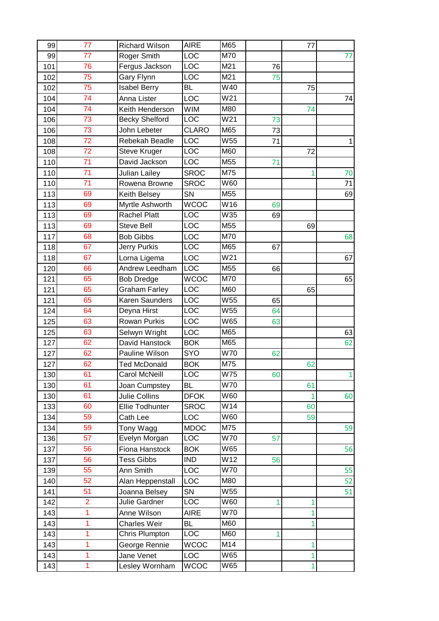| 99  | 77             | <b>Richard Wilson</b> | <b>AIRE</b>      | M65             |    | 77 |              |
|-----|----------------|-----------------------|------------------|-----------------|----|----|--------------|
| 99  | 77             | Roger Smith           | LOC              | M70             |    |    | 77           |
| 101 | 76             | Fergus Jackson        | $\overline{LOC}$ | M21             | 76 |    |              |
| 102 | 75             | Gary Flynn            | LOC              | M21             | 75 |    |              |
| 102 | 75             | <b>Isabel Berry</b>   | <b>BL</b>        | W40             |    | 75 |              |
| 104 | 74             | Anna Lister           | LOC              | W21             |    |    | 74           |
| 104 | 74             | Keith Henderson       | <b>WIM</b>       | M80             |    | 74 |              |
| 106 | 73             | <b>Becky Shelford</b> | LOC              | W21             | 73 |    |              |
| 106 | 73             | John Lebeter          | <b>CLARO</b>     | M65             | 73 |    |              |
| 108 | 72             | Rebekah Beadle        | LOC              | W <sub>55</sub> | 71 |    | $\mathbf{1}$ |
| 108 | 72             | Steve Kruger          | LOC              | M60             |    | 72 |              |
| 110 | 71             | David Jackson         | LOC              | M55             | 71 |    |              |
| 110 | 71             | Julian Lailey         | <b>SROC</b>      | M75             |    |    | 70           |
| 110 | 71             | Rowena Browne         | <b>SROC</b>      | W60             |    |    | 71           |
| 113 | 69             | Keith Belsey          | <b>SN</b>        | M55             |    |    | 69           |
| 113 | 69             | Myrtle Ashworth       | <b>WCOC</b>      | W16             | 69 |    |              |
| 113 | 69             | Rachel Platt          | LOC              | W35             | 69 |    |              |
| 113 | 69             | <b>Steve Bell</b>     | LOC              | M55             |    | 69 |              |
| 117 | 68             | <b>Bob Gibbs</b>      | LOC              | M70             |    |    | 68           |
| 118 | 67             | Jerry Purkis          | LOC              | M65             | 67 |    |              |
| 118 | 67             | Lorna Ligema          | LOC              | W21             |    |    | 67           |
| 120 | 66             | Andrew Leedham        | LOC              | M55             | 66 |    |              |
| 121 | 65             | <b>Bob Dredge</b>     | <b>WCOC</b>      | M70             |    |    | 65           |
| 121 | 65             | <b>Graham Farley</b>  | LOC              | M60             |    | 65 |              |
| 121 | 65             | Karen Saunders        | LOC              | W <sub>55</sub> | 65 |    |              |
| 124 | 64             | Deyna Hirst           | LOC              | W55             | 64 |    |              |
| 125 | 63             | Rowan Purkis          | LOC              | W65             | 63 |    |              |
| 125 | 63             | Selwyn Wright         | LOC              | M65             |    |    | 63           |
| 127 | 62             | David Hanstock        | <b>BOK</b>       | M65             |    |    | 62           |
| 127 | 62             | Pauline Wilson        | SYO              | W70             | 62 |    |              |
| 127 | 62             | <b>Ted McDonald</b>   | <b>BOK</b>       | M75             |    | 62 |              |
| 130 | 61             | <b>Carol McNeill</b>  | LOC              | W75             | 60 |    | 1            |
| 130 | 61             | Joan Cumpstey         | <b>BL</b>        | W70             |    | 61 |              |
| 130 | 61             | Julie Collins         | <b>DFOK</b>      | W60             |    | 1  | 60           |
| 133 | 60             | Ellie Todhunter       | <b>SROC</b>      | W14             |    | 60 |              |
| 134 | 59             | Cath Lee              | LOC              | W60             |    | 59 |              |
| 134 | 59             | Tony Wagg             | <b>MDOC</b>      | M75             |    |    | 59           |
| 136 | 57             | Evelyn Morgan         | LOC              | W70             | 57 |    |              |
| 137 | 56             | Fiona Hanstock        | <b>BOK</b>       | W65             |    |    | 56           |
| 137 | 56             | <b>Tess Gibbs</b>     | <b>IND</b>       | W12             | 56 |    |              |
| 139 | 55             | Ann Smith             | LOC              | W70             |    |    | 55           |
| 140 | 52             | Alan Heppenstall      | LOC              | M80             |    |    | 52           |
| 141 | 51             | Joanna Belsey         | SN               | W55             |    |    | 51           |
| 142 | $\overline{2}$ | Julie Gardner         | LOC              | W60             | 1  | 1  |              |
| 143 | 1              | Anne Wilson           | <b>AIRE</b>      | W70             |    |    |              |
| 143 | 1              | Charles Weir          | <b>BL</b>        | M60             |    |    |              |
| 143 | 1              | Chris Plumpton        | LOC              | M60             | 1  |    |              |
| 143 | 1              | George Rennie         | <b>WCOC</b>      | M14             |    | 1  |              |
| 143 | 1              | Jane Venet            | LOC              | W65             |    | 1  |              |
| 143 | 1              | Lesley Wornham        | <b>WCOC</b>      | W65             |    | 1  |              |